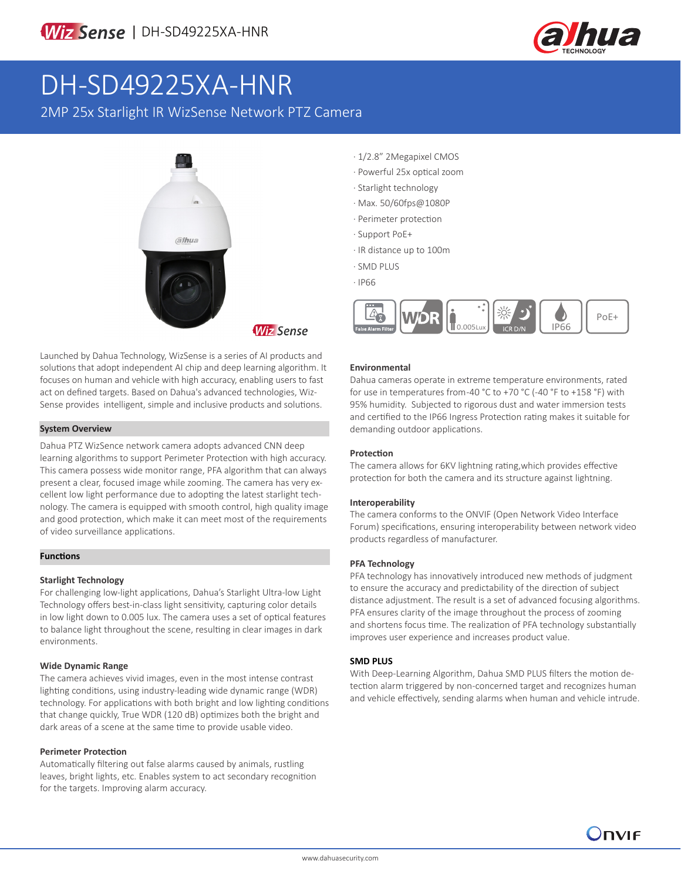

# DH-SD49225XA-HNR

2MP 25x Starlight IR WizSense Network PTZ Camera



Launched by Dahua Technology, WizSense is a series of AI products and solutions that adopt independent AI chip and deep learning algorithm. It focuses on human and vehicle with high accuracy, enabling users to fast act on defined targets. Based on Dahua's advanced technologies, Wiz-Sense provides intelligent, simple and inclusive products and solutions.

### **System Overview**

Dahua PTZ WizSence network camera adopts advanced CNN deep learning algorithms to support Perimeter Protection with high accuracy. This camera possess wide monitor range, PFA algorithm that can always present a clear, focused image while zooming. The camera has very excellent low light performance due to adopting the latest starlight technology. The camera is equipped with smooth control, high quality image and good protection, which make it can meet most of the requirements of video surveillance applications.

### **Functions**

### **Starlight Technology**

For challenging low-light applications, Dahua's Starlight Ultra-low Light Technology offers best-in-class light sensitivity, capturing color details in low light down to 0.005 lux. The camera uses a set of optical features to balance light throughout the scene, resulting in clear images in dark environments.

### **Wide Dynamic Range**

The camera achieves vivid images, even in the most intense contrast lighting conditions, using industry-leading wide dynamic range (WDR) technology. For applications with both bright and low lighting conditions that change quickly, True WDR (120 dB) optimizes both the bright and dark areas of a scene at the same time to provide usable video.

### **Perimeter Protection**

Automatically filtering out false alarms caused by animals, rustling leaves, bright lights, etc. Enables system to act secondary recognition for the targets. Improving alarm accuracy.

- · 1/2.8" 2Megapixel CMOS
- · Powerful 25x optical zoom
- · Starlight technology
- · Max. 50/60fps@1080P
- · Perimeter protection
- · Support PoE+
- · IR distance up to 100m
- · SMD PLUS
- · IP66



### **Environmental**

Dahua cameras operate in extreme temperature environments, rated for use in temperatures from -40 °C to +70 °C (-40 °F to +158 °F) with 95% humidity. Subjected to rigorous dust and water immersion tests and certified to the IP66 Ingress Protection rating makes it suitable for demanding outdoor applications.

### **Protection**

The camera allows for 6KV lightning rating,which provides effective protection for both the camera and its structure against lightning.

### **Interoperability**

The camera conforms to the ONVIF (Open Network Video Interface Forum) specifications, ensuring interoperability between network video products regardless of manufacturer.

### **PFA Technology**

PFA technology has innovatively introduced new methods of judgment to ensure the accuracy and predictability of the direction of subject distance adjustment. The result is a set of advanced focusing algorithms. PFA ensures clarity of the image throughout the process of zooming and shortens focus time. The realization of PFA technology substantially improves user experience and increases product value.

### **SMD PLUS**

With Deep-Learning Algorithm, Dahua SMD PLUS filters the motion detection alarm triggered by non-concerned target and recognizes human and vehicle effectively, sending alarms when human and vehicle intrude.

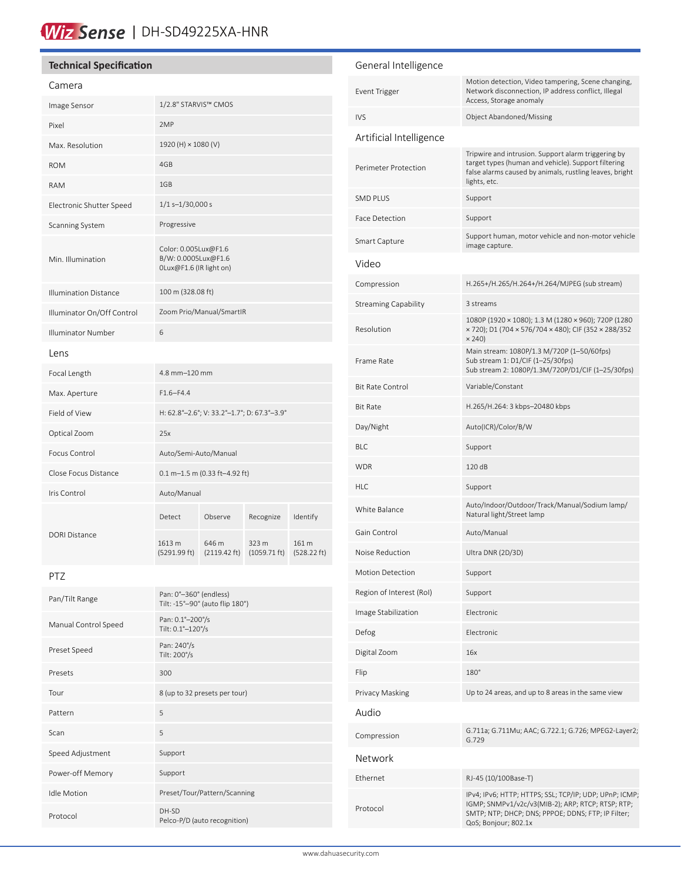# Wiz Sense | DH-SD49225XA-HNR

### **Technical Specification**

### Camera

| Image Sensor                 | 1/2.8" STARVIS™ CMOS                                                   |                                 |                                 |                      |
|------------------------------|------------------------------------------------------------------------|---------------------------------|---------------------------------|----------------------|
| Pixel                        | 2MP                                                                    |                                 |                                 |                      |
| Max. Resolution              | 1920 (H) × 1080 (V)                                                    |                                 |                                 |                      |
| <b>ROM</b>                   | 4GB                                                                    |                                 |                                 |                      |
| <b>RAM</b>                   | 1GB                                                                    |                                 |                                 |                      |
| Electronic Shutter Speed     | $1/1 s - 1/30,000 s$                                                   |                                 |                                 |                      |
| Scanning System              | Progressive                                                            |                                 |                                 |                      |
| Min. Illumination            | Color: 0.005Lux@F1.6<br>B/W: 0.0005Lux@F1.6<br>OLux@F1.6 (IR light on) |                                 |                                 |                      |
| <b>Illumination Distance</b> | 100 m (328.08 ft)                                                      |                                 |                                 |                      |
| Illuminator On/Off Control   | Zoom Prio/Manual/SmartIR                                               |                                 |                                 |                      |
| <b>Illuminator Number</b>    | 6                                                                      |                                 |                                 |                      |
| Lens                         |                                                                        |                                 |                                 |                      |
| Focal Length                 | 4.8 mm-120 mm                                                          |                                 |                                 |                      |
| Max. Aperture                | $F1.6 - F4.4$                                                          |                                 |                                 |                      |
| Field of View                | H: 62.8°-2.6°; V: 33.2°-1.7°; D: 67.3°-3.9°                            |                                 |                                 |                      |
| Optical Zoom                 | 25x                                                                    |                                 |                                 |                      |
| Focus Control                | Auto/Semi-Auto/Manual                                                  |                                 |                                 |                      |
| Close Focus Distance         | $0.1 m - 1.5 m (0.33 ft - 4.92 ft)$                                    |                                 |                                 |                      |
| Iris Control                 | Auto/Manual                                                            |                                 |                                 |                      |
| <b>DORI Distance</b>         | Detect                                                                 | Observe                         | Recognize                       | Identify             |
|                              | 1613 m<br>(5291.99 ft)                                                 | 646 m<br>$(2119.42 \text{ ft})$ | 323 m<br>$(1059.71 \text{ ft})$ | 161 m<br>(528.22 ft) |

PTZ

| Pan/Tilt Range       | Pan: 0°-360° (endless)<br>Tilt: -15°-90° (auto flip 180°) |
|----------------------|-----------------------------------------------------------|
| Manual Control Speed | Pan: 0.1°-200°/s<br>Tilt: 0.1°-120°/s                     |
| Preset Speed         | Pan: 240%<br>Tilt: 200%                                   |
| Presets              | 300                                                       |
| Tour                 | 8 (up to 32 presets per tour)                             |
| Pattern              | 5                                                         |
| Scan                 | 5                                                         |
| Speed Adjustment     | Support                                                   |
| Power-off Memory     | Support                                                   |
| <b>Idle Motion</b>   | Preset/Tour/Pattern/Scanning                              |
| Protocol             | DH-SD<br>Pelco-P/D (auto recognition)                     |

# General Intelligence Event Trigger Motion detection, Video tampering, Scene changing, Network disconnection, IP address conflict, Illegal Access, Storage anomaly IVS Object Abandoned/Missing Artificial Intelligence Perimeter Protection Tripwire and intrusion. Support alarm triggering by target types (human and vehicle). Support filtering false alarms caused by animals, rustling leaves, bright lights, etc. SMD PLUS Support Face Detection Support Smart Capture Support human, motor vehicle and non-motor vehicle image capture. Video Compression H.265+/H.265/H.264+/H.264/MJPEG (sub stream) Streaming Capability 3 streams Resolution 1080P (1920 × 1080); 1.3 M (1280 × 960); 720P (1280 × 720); D1 (704 × 576/704 × 480); CIF (352 × 288/352  $\times$  240) Frame Rate Main stream: 1080P/1.3 M/720P (1–50/60fps) Sub stream 1: D1/CIF (1–25/30fps) Sub stream 2: 1080P/1.3M/720P/D1/CIF (1–25/30fps) Bit Rate Control Variable/Constant Bit Rate H.265/H.264: 3 kbps–20480 kbps Day/Night Auto(ICR)/Color/B/W BLC Support WDR 120 dB HLC Support White Balance Auto/Indoor/Outdoor/Track/Manual/Sodium lamp/ Natural light/Street lamp Gain Control **Auto/Manual** Noise Reduction Ultra DNR (2D/3D) Motion Detection Support Region of Interest (RoI) Support Image Stabilization **Electronic** Defog Electronic Digital Zoom 16x Flip 180° Privacy Masking Up to 24 areas, and up to 8 areas in the same view Audio Compression G.711a; G.711Mu; AAC; G.722.1; G.726; MPEG2-Layer2; G.729 Network Ethernet RJ-45 (10/100Base-T) Protocol IPv4; IPv6; HTTP; HTTPS; SSL; TCP/IP; UDP; UPnP; ICMP; IGMP; SNMPv1/v2c/v3(MIB-2); ARP; RTCP; RTSP; RTP; SMTP; NTP; DHCP; DNS; PPPOE; DDNS; FTP; IP Filter;

QoS; Bonjour; 802.1x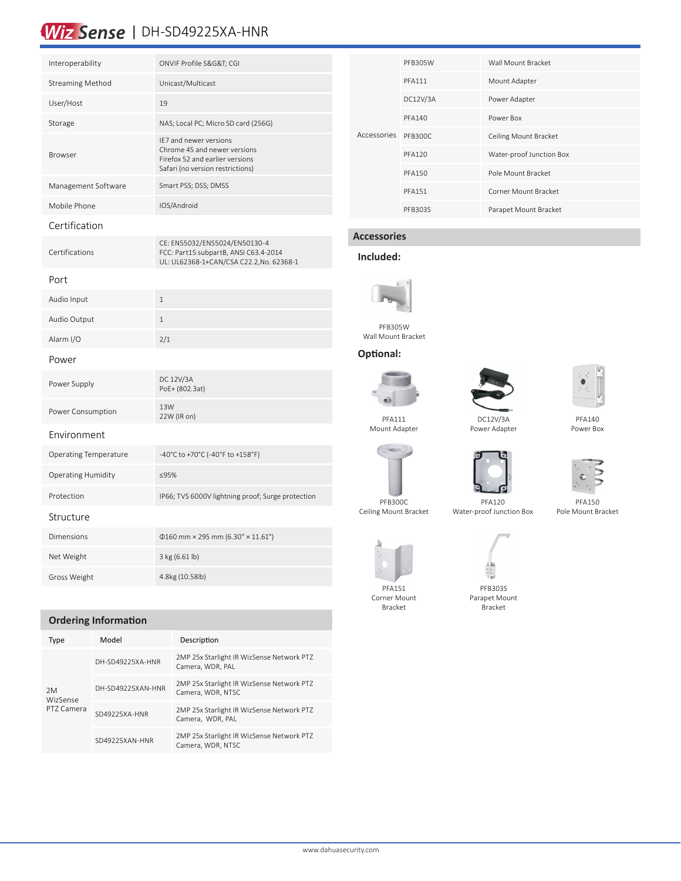# Wiz Sense | DH-SD49225XA-HNR

| Interoperability             | ONVIF Profile S&G&T CGI                                                                                                       |
|------------------------------|-------------------------------------------------------------------------------------------------------------------------------|
| <b>Streaming Method</b>      | Unicast/Multicast                                                                                                             |
| User/Host                    | 19                                                                                                                            |
| Storage                      | NAS; Local PC; Micro SD card (256G)                                                                                           |
| Browser                      | IE7 and newer versions<br>Chrome 45 and newer versions<br>Firefox 52 and earlier versions<br>Safari (no version restrictions) |
| Management Software          | Smart PSS; DSS; DMSS                                                                                                          |
| Mobile Phone                 | IOS/Android                                                                                                                   |
| Certification                |                                                                                                                               |
| Certifications               | CE: EN55032/EN55024/EN50130-4<br>FCC: Part15 subpartB, ANSI C63.4-2014<br>UL: UL62368-1+CAN/CSA C22.2,No. 62368-1             |
| Port                         |                                                                                                                               |
| Audio Input                  | $1\,$                                                                                                                         |
| Audio Output                 | $\mathbf{1}$                                                                                                                  |
| Alarm I/O                    | 2/1                                                                                                                           |
| Power                        |                                                                                                                               |
| Power Supply                 | DC 12V/3A<br>PoE+ (802.3at)                                                                                                   |
| Power Consumption            | 13W<br>22W (IR on)                                                                                                            |
| Environment                  |                                                                                                                               |
| <b>Operating Temperature</b> | -40°C to +70°C (-40°F to +158°F)                                                                                              |
| Operating Humidity           | ≤95%                                                                                                                          |
| Protection                   | IP66; TVS 6000V lightning proof; Surge protection                                                                             |
| Structure                    |                                                                                                                               |
| Dimensions                   | $\Phi$ 160 mm × 295 mm (6.30" × 11.61")                                                                                       |
| Net Weight                   | 3 kg (6.61 lb)                                                                                                                |
| Gross Weight                 | 4.8kg (10.58lb)                                                                                                               |

### **Ordering Information**

| Type                                | Model             | Description                                                    |  |
|-------------------------------------|-------------------|----------------------------------------------------------------|--|
| 2M<br><b>WizSense</b><br>PT7 Camera | DH-SD49225XA-HNR  | 2MP 25x Starlight IR WizSense Network PTZ<br>Camera, WDR, PAL  |  |
|                                     | DH-SD49225XAN-HNR | 2MP 25x Starlight IR WizSense Network PTZ<br>Camera, WDR, NTSC |  |
|                                     | SD49225XA-HNR     | 2MP 25x Starlight IR WizSense Network PTZ<br>Camera, WDR, PAL  |  |
|                                     | SD49225XAN-HNR    | 2MP 25x Starlight IR WizSense Network PTZ<br>Camera, WDR, NTSC |  |

| Accessories | <b>PFB305W</b> | Wall Mount Bracket       |  |
|-------------|----------------|--------------------------|--|
|             | <b>PFA111</b>  | Mount Adapter            |  |
|             | DC12V/3A       | Power Adapter            |  |
|             | <b>PFA140</b>  | Power Box                |  |
|             | PFB300C        | Ceiling Mount Bracket    |  |
|             | <b>PFA120</b>  | Water-proof Junction Box |  |
|             | <b>PFA150</b>  | Pole Mount Bracket       |  |
|             | <b>PFA151</b>  | Corner Mount Bracket     |  |
|             | PFB303S        | Parapet Mount Bracket    |  |

# **Accessories**

### **Included:**



PFB305W Wall Mount Bracket

### **Optional:**



PFA111 Mount Adapter



Power Adapter



PFA140 Power Box





PFA150









PFA151 Corner Mount Bracket

PFB303S Parapet Mount Bracket

Pole Mount Bracket